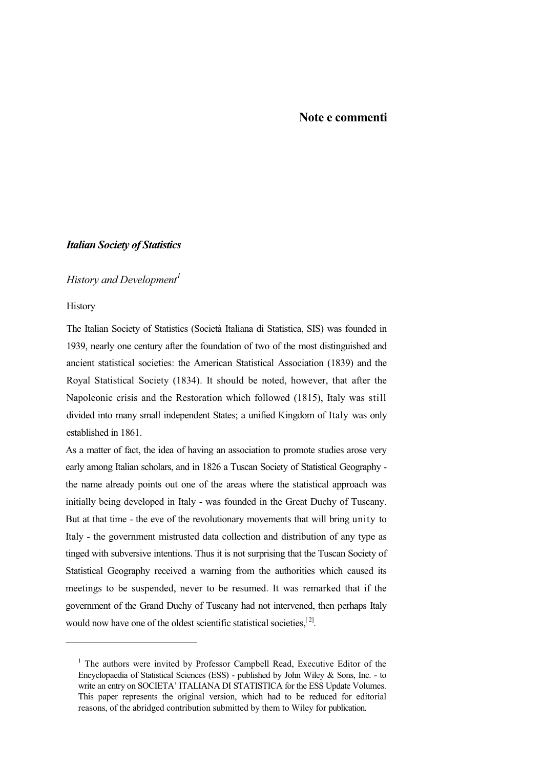## *Italian Society of Statistics*

### *History and Development<sup>1</sup>*

**History** 

-

The Italian Society of Statistics (Società Italiana di Statistica, SIS) was founded in 1939, nearly one century after the foundation of two of the most distinguished and ancient statistical societies: the American Statistical Association (1839) and the Royal Statistical Society (1834). It should be noted, however, that after the Napoleonic crisis and the Restoration which followed (1815), Italy was still divided into many small independent States; a unified Kingdom of Italy was only established in 1861.

As a matter of fact, the idea of having an association to promote studies arose very early among Italian scholars, and in 1826 a Tuscan Society of Statistical Geography the name already points out one of the areas where the statistical approach was initially being developed in Italy - was founded in the Great Duchy of Tuscany. But at that time - the eve of the revolutionary movements that will bring unity to Italy - the government mistrusted data collection and distribution of any type as tinged with subversive intentions. Thus it is not surprising that the Tuscan Society of Statistical Geography received a warning from the authorities which caused its meetings to be suspended, never to be resumed. It was remarked that if the government of the Grand Duchy of Tuscany had not intervened, then perhaps Italy would now have one of the oldest scientific statistical societies,  $[2]$ .

<sup>&</sup>lt;sup>1</sup> The authors were invited by Professor Campbell Read, Executive Editor of the Encyclopaedia of Statistical Sciences (ESS) - published by John Wiley & Sons, Inc. - to write an entry on SOCIETA' ITALIANA DI STATISTICA for the ESS Update Volumes. This paper represents the original version, which had to be reduced for editorial reasons, of the abridged contribution submitted by them to Wiley for publication.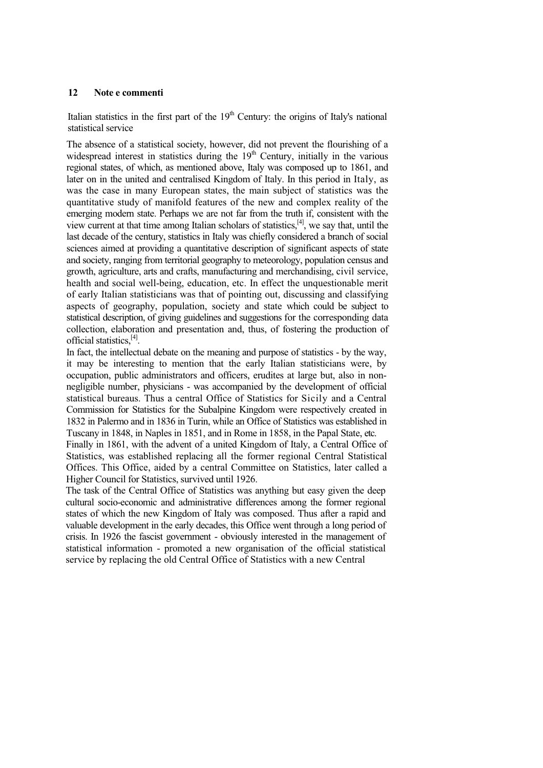Italian statistics in the first part of the  $19<sup>th</sup>$  Century: the origins of Italy's national statistical service

The absence of a statistical society, however, did not prevent the flourishing of a widespread interest in statistics during the  $19<sup>th</sup>$  Century, initially in the various regional states, of which, as mentioned above, Italy was composed up to 1861, and later on in the united and centralised Kingdom of Italy. In this period in Italy, as was the case in many European states, the main subject of statistics was the quantitative study of manifold features of the new and complex reality of the emerging modern state. Perhaps we are not far from the truth if, consistent with the view current at that time among Italian scholars of statistics, $[4]$ , we say that, until the last decade of the century, statistics in Italy was chiefly considered a branch of social sciences aimed at providing a quantitative description of significant aspects of state and society, ranging from territorial geography to meteorology, population census and growth, agriculture, arts and crafts, manufacturing and merchandising, civil service, health and social well-being, education, etc. In effect the unquestionable merit of early Italian statisticians was that of pointing out, discussing and classifying aspects of geography, population, society and state which could be subject to statistical description, of giving guidelines and suggestions for the corresponding data collection, elaboration and presentation and, thus, of fostering the production of official statistics,[4] .

In fact, the intellectual debate on the meaning and purpose of statistics - by the way, it may be interesting to mention that the early Italian statisticians were, by occupation, public administrators and officers, erudites at large but, also in nonnegligible number, physicians - was accompanied by the development of official statistical bureaus. Thus a central Office of Statistics for Sicily and a Central Commission for Statistics for the Subalpine Kingdom were respectively created in 1832 in Palermo and in 1836 in Turin, while an Office of Statistics was established in Tuscany in 1848, in Naples in 1851, and in Rome in 1858, in the Papal State, etc.

Finally in 1861, with the advent of a united Kingdom of Italy, a Central Office of Statistics, was established replacing all the former regional Central Statistical Offices. This Office, aided by a central Committee on Statistics, later called a Higher Council for Statistics, survived until 1926.

The task of the Central Office of Statistics was anything but easy given the deep cultural socio-economic and administrative differences among the former regional states of which the new Kingdom of Italy was composed. Thus after a rapid and valuable development in the early decades, this Office went through a long period of crisis. In 1926 the fascist government - obviously interested in the management of statistical information - promoted a new organisation of the official statistical service by replacing the old Central Office of Statistics with a new Central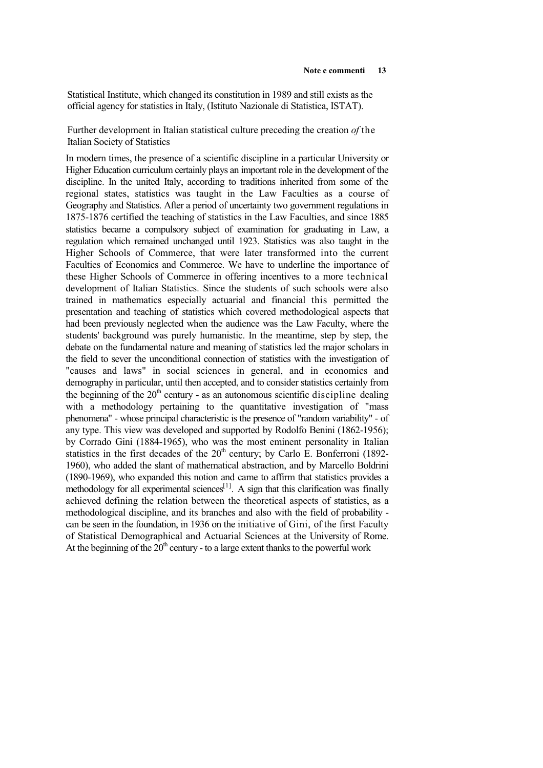Statistical Institute, which changed its constitution in 1989 and still exists as the official agency for statistics in Italy, (Istituto Nazionale di Statistica, ISTAT).

Further development in Italian statistical culture preceding the creation *of* the Italian Society of Statistics

In modern times, the presence of a scientific discipline in a particular University or Higher Education curriculum certainly plays an important role in the development of the discipline. In the united Italy, according to traditions inherited from some of the regional states, statistics was taught in the Law Faculties as a course of Geography and Statistics. After a period of uncertainty two government regulations in 1875-1876 certified the teaching of statistics in the Law Faculties, and since 1885 statistics became a compulsory subject of examination for graduating in Law, a regulation which remained unchanged until 1923. Statistics was also taught in the Higher Schools of Commerce, that were later transformed into the current Faculties of Economics and Commerce. We have to underline the importance of these Higher Schools of Commerce in offering incentives to a more technical development of Italian Statistics. Since the students of such schools were also trained in mathematics especially actuarial and financial this permitted the presentation and teaching of statistics which covered methodological aspects that had been previously neglected when the audience was the Law Faculty, where the students' background was purely humanistic. In the meantime, step by step, the debate on the fundamental nature and meaning of statistics led the major scholars in the field to sever the unconditional connection of statistics with the investigation of "causes and laws" in social sciences in general, and in economics and demography in particular, until then accepted, and to consider statistics certainly from the beginning of the  $20<sup>th</sup>$  century - as an autonomous scientific discipline dealing with a methodology pertaining to the quantitative investigation of "mass" phenomena" - whose principal characteristic is the presence of "random variability" - of any type. This view was developed and supported by Rodolfo Benini (1862-1956); by Corrado Gini (1884-1965), who was the most eminent personality in Italian statistics in the first decades of the  $20<sup>th</sup>$  century; by Carlo E. Bonferroni (1892-1960), who added the slant of mathematical abstraction, and by Marcello Boldrini (1890-1969), who expanded this notion and came to affirm that statistics provides a methodology for all experimental sciences<sup>[1]</sup>. A sign that this clarification was finally achieved defining the relation between the theoretical aspects of statistics, as a methodological discipline, and its branches and also with the field of probability can be seen in the foundation, in 1936 on the initiative of Gini, of the first Faculty of Statistical Demographical and Actuarial Sciences at the University of Rome. At the beginning of the  $20<sup>th</sup>$  century - to a large extent thanks to the powerful work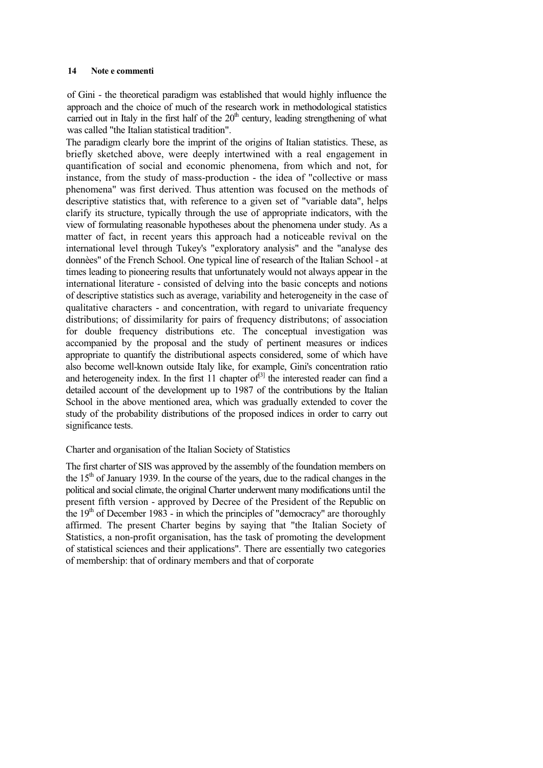of Gini - the theoretical paradigm was established that would highly influence the approach and the choice of much of the research work in methodological statistics carried out in Italy in the first half of the  $20<sup>th</sup>$  century, leading strengthening of what was called "the Italian statistical tradition".

The paradigm clearly bore the imprint of the origins of Italian statistics. These, as briefly sketched above, were deeply intertwined with a real engagement in quantification of social and economic phenomena, from which and not, for instance, from the study of mass-production - the idea of "collective or mass phenomena" was first derived. Thus attention was focused on the methods of descriptive statistics that, with reference to a given set of "variable data", helps clarify its structure, typically through the use of appropriate indicators, with the view of formulating reasonable hypotheses about the phenomena under study. As a matter of fact, in recent years this approach had a noticeable revival on the international level through Tukey's "exploratory analysis" and the "analyse des donnèes" of the French School. One typical line of research of the Italian School - at times leading to pioneering results that unfortunately would not always appear in the international literature - consisted of delving into the basic concepts and notions of descriptive statistics such as average, variability and heterogeneity in the case of qualitative characters - and concentration, with regard to univariate frequency distributions; of dissimilarity for pairs of frequency distributons; of association for double frequency distributions etc. The conceptual investigation was accompanied by the proposal and the study of pertinent measures or indices appropriate to quantify the distributional aspects considered, some of which have also become well-known outside Italy like, for example, Gini's concentration ratio and heterogeneity index. In the first  $11$  chapter of<sup>[3]</sup> the interested reader can find a detailed account of the development up to 1987 of the contributions by the Italian School in the above mentioned area, which was gradually extended to cover the study of the probability distributions of the proposed indices in order to carry out significance tests.

### Charter and organisation of the Italian Society of Statistics

The first charter of SIS was approved by the assembly of the foundation members on the  $15<sup>th</sup>$  of January 1939. In the course of the years, due to the radical changes in the political and social climate, the original Charter underwent many modifications until the present fifth version - approved by Decree of the President of the Republic on the  $19<sup>th</sup>$  of December 1983 - in which the principles of "democracy" are thoroughly affirmed. The present Charter begins by saying that "the Italian Society of Statistics, a non-profit organisation, has the task of promoting the development of statistical sciences and their applications". There are essentially two categories of membership: that of ordinary members and that of corporate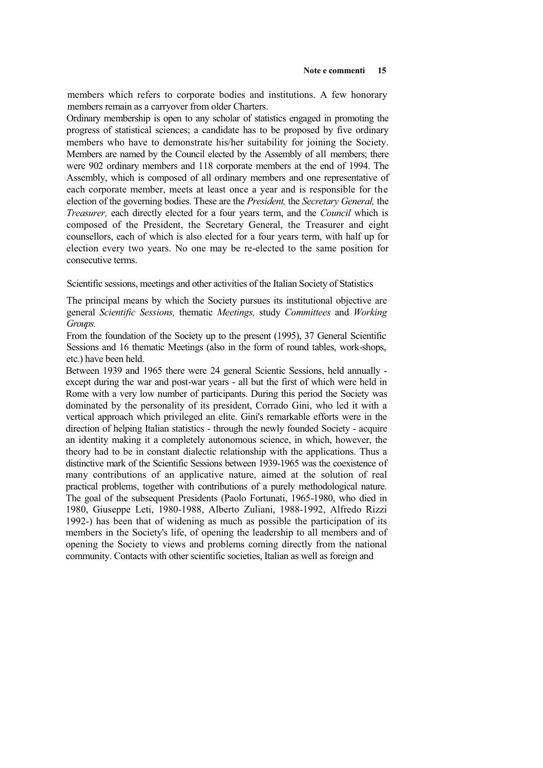members which refers to corporate bodies and institutions. A few honorary members remain as a carryover from older Charters.

Ordinary membership is open to any scholar of statistics engaged in promoting the progress of statistical sciences; a candidate has to be proposed by five ordinary members who have to demonstrate his/her suitability for joining the Society. Members are named by the Council elected by the Assembly of all members; there were 902 ordinary members and 118 corporate members at the end of 1994. The Assembly, which is composed of all ordinary members and one representative of each corporate member, meets at least once a year and is responsible for the election of the governing bodies. These are the *President,* the *Secretary General,* the *Treasurer,* each directly elected for a four years term, and the *Council* which is composed of the President, the Secretary General, the Treasurer and eight counsellors, each of which is also elected for a four years term, with half up for election every two years. No one may be re-elected to the same position for consecutive terms.

Scientific sessions, meetings and other activities of the Italian Society of Statistics

The principal means by which the Society pursues its institutional objective are general *Scientific Sessions,* thematic *Meetings,* study *Committees* and *Working Groups.*

From the foundation of the Society up to the present (1995), 37 General Scientific Sessions and 16 thematic Meetings (also in the form of round tables, work-shops, etc.) have been held.

Between 1939 and 1965 there were 24 general Scientic Sessions, held annually except during the war and post-war years - all but the first of which were held in Rome with a very low number of participants. During this period the Society was dominated by the personality of its president, Corrado Gini, who led it with a vertical approach which privileged an elite. Gini's remarkable efforts were in the direction of helping Italian statistics - through the newly founded Society - acquire an identity making it a completely autonomous science, in which, however, the theory had to be in constant dialectic relationship with the applications. Thus a distinctive mark of the Scientific Sessions between 1939-1965 was the coexistence of many contributions of an applicative nature, aimed at the solution of real practical problems, together with contributions of a purely methodological nature. The goal of the subsequent Presidents (Paolo Fortunati, 1965-1980, who died in 1980, Giuseppe Leti, 1980-1988, Alberto Zuliani, 1988-1992, Alfredo Rizzi 1992-) has been that of widening as much as possible the participation of its members in the Society's life, of opening the leadership to all members and of opening the Society to views and problems coming directly from the national community. Contacts with other scientific societies, Italian as well as foreign and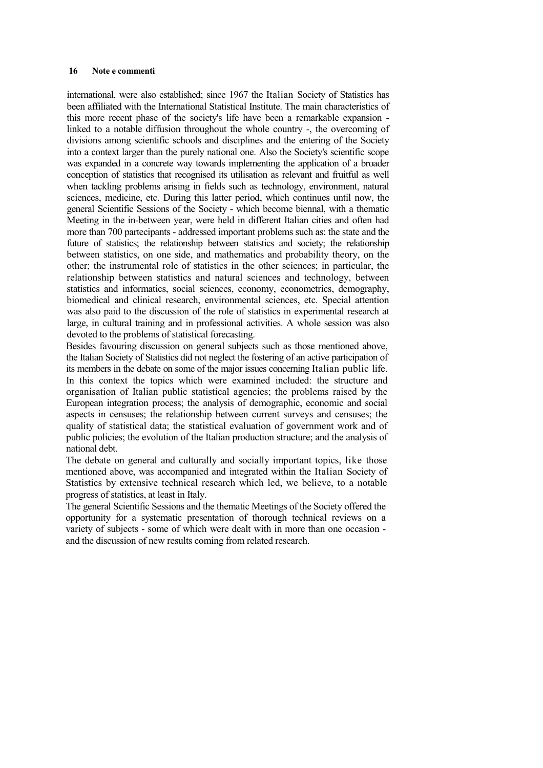international, were also established; since 1967 the Italian Society of Statistics has been affiliated with the International Statistical Institute. The main characteristics of this more recent phase of the society's life have been a remarkable expansion linked to a notable diffusion throughout the whole country -, the overcoming of divisions among scientific schools and disciplines and the entering of the Society into a context larger than the purely national one. Also the Society's scientific scope was expanded in a concrete way towards implementing the application of a broader conception of statistics that recognised its utilisation as relevant and fruitful as well when tackling problems arising in fields such as technology, environment, natural sciences, medicine, etc. During this latter period, which continues until now, the general Scientific Sessions of the Society - which become biennal, with a thematic Meeting in the in-between year, were held in different Italian cities and often had more than 700 partecipants - addressed important problems such as: the state and the future of statistics; the relationship between statistics and society; the relationship between statistics, on one side, and mathematics and probability theory, on the other; the instrumental role of statistics in the other sciences; in particular, the relationship between statistics and natural sciences and technology, between statistics and informatics, social sciences, economy, econometrics, demography, biomedical and clinical research, environmental sciences, etc. Special attention was also paid to the discussion of the role of statistics in experimental research at large, in cultural training and in professional activities. A whole session was also devoted to the problems of statistical forecasting.

Besides favouring discussion on general subjects such as those mentioned above, the Italian Society of Statistics did not neglect the fostering of an active participation of its members in the debate on some of the major issues concerning Italian public life. In this context the topics which were examined included: the structure and organisation of Italian public statistical agencies; the problems raised by the European integration process; the analysis of demographic, economic and social aspects in censuses; the relationship between current surveys and censuses; the quality of statistical data; the statistical evaluation of government work and of public policies; the evolution of the Italian production structure; and the analysis of national debt.

The debate on general and culturally and socially important topics, like those mentioned above, was accompanied and integrated within the Italian Society of Statistics by extensive technical research which led, we believe, to a notable progress of statistics, at least in Italy.

The general Scientific Sessions and the thematic Meetings of the Society offered the opportunity for a systematic presentation of thorough technical reviews on a variety of subjects - some of which were dealt with in more than one occasion and the discussion of new results coming from related research.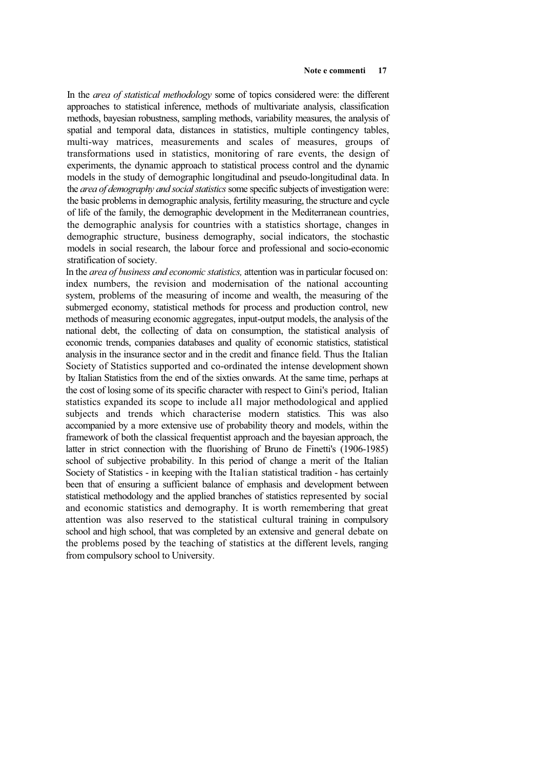In the *area of statistical methodology* some of topics considered were: the different approaches to statistical inference, methods of multivariate analysis, classification methods, bayesian robustness, sampling methods, variability measures, the analysis of spatial and temporal data, distances in statistics, multiple contingency tables, multi-way matrices, measurements and scales of measures, groups of transformations used in statistics, monitoring of rare events, the design of experiments, the dynamic approach to statistical process control and the dynamic models in the study of demographic longitudinal and pseudo-longitudinal data. In the *area of demography and social statistics* some specific subjects of investigation were: the basic problems in demographic analysis, fertility measuring, the structure and cycle of life of the family, the demographic development in the Mediterranean countries, the demographic analysis for countries with a statistics shortage, changes in demographic structure, business demography, social indicators, the stochastic models in social research, the labour force and professional and socio-economic stratification of society.

In the *area of business and economic statistics,* attention was in particular focused on: index numbers, the revision and modernisation of the national accounting system, problems of the measuring of income and wealth, the measuring of the submerged economy, statistical methods for process and production control, new methods of measuring economic aggregates, input-output models, the analysis of the national debt, the collecting of data on consumption, the statistical analysis of economic trends, companies databases and quality of economic statistics, statistical analysis in the insurance sector and in the credit and finance field. Thus the Italian Society of Statistics supported and co-ordinated the intense development shown by Italian Statistics from the end of the sixties onwards. At the same time, perhaps at the cost of losing some of its specific character with respect to Gini's period, Italian statistics expanded its scope to include all major methodological and applied subjects and trends which characterise modern statistics. This was also accompanied by a more extensive use of probability theory and models, within the framework of both the classical frequentist approach and the bayesian approach, the latter in strict connection with the fluorishing of Bruno de Finetti's (1906-1985) school of subjective probability. In this period of change a merit of the Italian Society of Statistics - in keeping with the Italian statistical tradition - has certainly been that of ensuring a sufficient balance of emphasis and development between statistical methodology and the applied branches of statistics represented by social and economic statistics and demography. It is worth remembering that great attention was also reserved to the statistical cultural training in compulsory school and high school, that was completed by an extensive and general debate on the problems posed by the teaching of statistics at the different levels, ranging from compulsory school to University.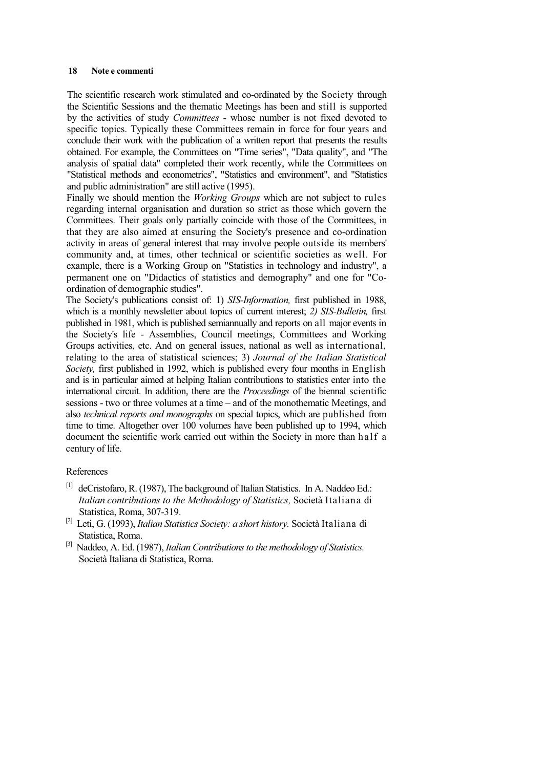The scientific research work stimulated and co-ordinated by the Society through the Scientific Sessions and the thematic Meetings has been and still is supported by the activities of study *Committees -* whose number is not fixed devoted to specific topics. Typically these Committees remain in force for four years and conclude their work with the publication of a written report that presents the results obtained. For example, the Committees on "Time series", "Data quality", and "The analysis of spatial data" completed their work recently, while the Committees on "Statistical methods and econometrics", "Statistics and environment", and "Statistics and public administration" are still active (1995).

Finally we should mention the *Working Groups* which are not subject to rules regarding internal organisation and duration so strict as those which govern the Committees. Their goals only partially coincide with those of the Committees, in that they are also aimed at ensuring the Society's presence and co-ordination activity in areas of general interest that may involve people outside its members' community and, at times, other technical or scientific societies as well. For example, there is a Working Group on "Statistics in technology and industry", a permanent one on "Didactics of statistics and demography" and one for "Coordination of demographic studies".

The Society's publications consist of: 1) *SIS-Information,* first published in 1988, which is a monthly newsletter about topics of current interest; *2) SIS-Bulletin,* first published in 1981, which is published semiannually and reports on all major events in the Society's life - Assemblies, Council meetings, Committees and Working Groups activities, etc. And on general issues, national as well as international, relating to the area of statistical sciences; 3) *Journal of the Italian Statistical Society,* first published in 1992, which is published every four months in English and is in particular aimed at helping Italian contributions to statistics enter into the international circuit. In addition, there are the *Proceedings* of the biennal scientific sessions - two or three volumes at a time – and of the monothematic Meetings, and also *technical reports and monographs* on special topics, which are published from time to time. Altogether over 100 volumes have been published up to 1994, which document the scientific work carried out within the Society in more than half a century of life.

### References

- [l] deCristofaro, R. (1987), The background of Italian Statistics. In A. Naddeo Ed.: *Italian contributions to the Methodology of Statistics,* Società Italiana di Statistica, Roma, 307-319.
- [2] Leti, G. (1993), *Italian Statistics Society: a short history.* Società Italiana di Statistica, Roma.
- [3] Naddeo, A. Ed. (1987), *Italian Contributions to the methodology of Statistics.* Società Italiana di Statistica, Roma.